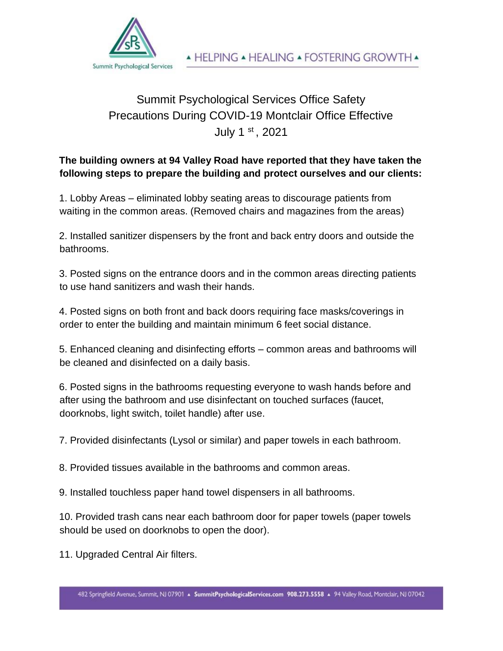

## Summit Psychological Services Office Safety Precautions During COVID-19 Montclair Office Effective July 1 st , 2021

## **The building owners at 94 Valley Road have reported that they have taken the following steps to prepare the building and protect ourselves and our clients:**

1. Lobby Areas – eliminated lobby seating areas to discourage patients from waiting in the common areas. (Removed chairs and magazines from the areas)

2. Installed sanitizer dispensers by the front and back entry doors and outside the bathrooms.

3. Posted signs on the entrance doors and in the common areas directing patients to use hand sanitizers and wash their hands.

4. Posted signs on both front and back doors requiring face masks/coverings in order to enter the building and maintain minimum 6 feet social distance.

5. Enhanced cleaning and disinfecting efforts – common areas and bathrooms will be cleaned and disinfected on a daily basis.

6. Posted signs in the bathrooms requesting everyone to wash hands before and after using the bathroom and use disinfectant on touched surfaces (faucet, doorknobs, light switch, toilet handle) after use.

7. Provided disinfectants (Lysol or similar) and paper towels in each bathroom.

8. Provided tissues available in the bathrooms and common areas.

9. Installed touchless paper hand towel dispensers in all bathrooms.

10. Provided trash cans near each bathroom door for paper towels (paper towels should be used on doorknobs to open the door).

11. Upgraded Central Air filters.